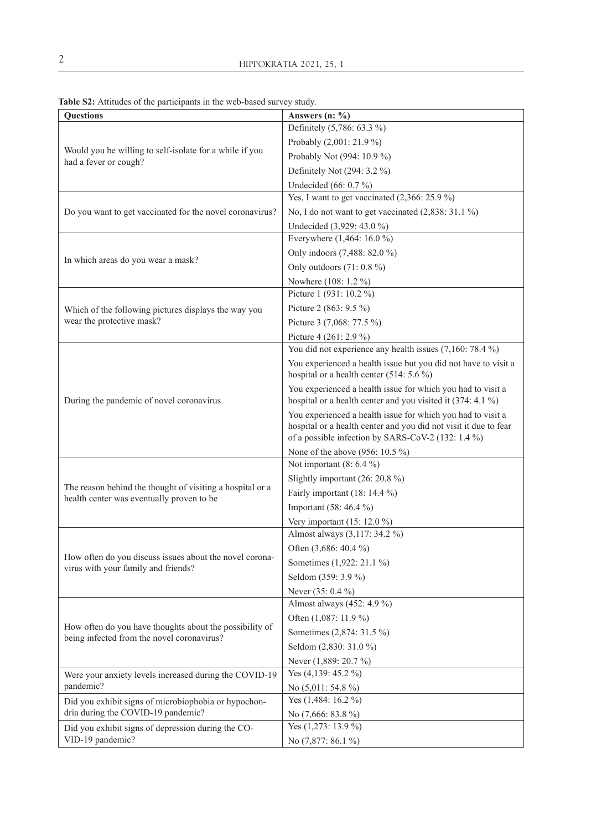| Questions                                                                                             | Answers $(n: %)$                                                                                                                                                                      |
|-------------------------------------------------------------------------------------------------------|---------------------------------------------------------------------------------------------------------------------------------------------------------------------------------------|
| Would you be willing to self-isolate for a while if you<br>had a fever or cough?                      | Definitely (5,786: 63.3 %)                                                                                                                                                            |
|                                                                                                       | Probably (2,001: 21.9 %)                                                                                                                                                              |
|                                                                                                       | Probably Not (994: 10.9 %)                                                                                                                                                            |
|                                                                                                       | Definitely Not (294: 3.2 %)                                                                                                                                                           |
|                                                                                                       | Undecided (66: 0.7 %)                                                                                                                                                                 |
| Do you want to get vaccinated for the novel coronavirus?                                              | Yes, I want to get vaccinated $(2,366:25.9\%)$                                                                                                                                        |
|                                                                                                       | No, I do not want to get vaccinated (2,838: 31.1 %)                                                                                                                                   |
|                                                                                                       | Undecided (3,929: 43.0 %)                                                                                                                                                             |
| In which areas do you wear a mask?                                                                    | Everywhere (1,464: 16.0 %)                                                                                                                                                            |
|                                                                                                       | Only indoors (7,488: 82.0 %)                                                                                                                                                          |
|                                                                                                       | Only outdoors $(71:0.8\%)$                                                                                                                                                            |
|                                                                                                       | Nowhere (108: 1.2 %)                                                                                                                                                                  |
| Which of the following pictures displays the way you<br>wear the protective mask?                     | Picture 1 (931: 10.2 %)                                                                                                                                                               |
|                                                                                                       | Picture 2 (863: 9.5 %)                                                                                                                                                                |
|                                                                                                       | Picture 3 (7,068: 77.5 %)                                                                                                                                                             |
|                                                                                                       | Picture 4 (261: 2.9 %)                                                                                                                                                                |
| During the pandemic of novel coronavirus                                                              | You did not experience any health issues $(7,160:78.4\%)$                                                                                                                             |
|                                                                                                       | You experienced a health issue but you did not have to visit a<br>hospital or a health center (514: 5.6 %)                                                                            |
|                                                                                                       | You experienced a health issue for which you had to visit a<br>hospital or a health center and you visited it (374: 4.1 %)                                                            |
|                                                                                                       | You experienced a health issue for which you had to visit a<br>hospital or a health center and you did not visit it due to fear<br>of a possible infection by SARS-CoV-2 (132: 1.4 %) |
|                                                                                                       | None of the above (956: 10.5 %)                                                                                                                                                       |
|                                                                                                       | Not important $(8: 6.4\%)$                                                                                                                                                            |
|                                                                                                       | Slightly important (26: 20.8 %)                                                                                                                                                       |
| The reason behind the thought of visiting a hospital or a                                             | Fairly important (18: 14.4 %)                                                                                                                                                         |
| health center was eventually proven to be                                                             | Important (58: 46.4 %)                                                                                                                                                                |
|                                                                                                       | Very important (15: 12.0 %)                                                                                                                                                           |
| How often do you discuss issues about the novel corona-<br>virus with your family and friends?        | Almost always (3,117: 34.2 %)                                                                                                                                                         |
|                                                                                                       | Often (3,686: 40.4 %)                                                                                                                                                                 |
|                                                                                                       | Sometimes (1,922: 21.1 %)                                                                                                                                                             |
|                                                                                                       | Seldom (359: 3.9 %)                                                                                                                                                                   |
|                                                                                                       | Never (35: 0.4 %)                                                                                                                                                                     |
| How often do you have thoughts about the possibility of<br>being infected from the novel coronavirus? | Almost always (452: 4.9 %)                                                                                                                                                            |
|                                                                                                       | Often (1,087: 11.9 %)                                                                                                                                                                 |
|                                                                                                       | Sometimes (2,874: 31.5 %)                                                                                                                                                             |
|                                                                                                       | Seldom (2,830: 31.0 %)                                                                                                                                                                |
|                                                                                                       | Never (1,889: 20.7 %)                                                                                                                                                                 |
| Were your anxiety levels increased during the COVID-19                                                | Yes (4,139: 45.2 %)                                                                                                                                                                   |
| pandemic?                                                                                             | No $(5,011:54.8\%)$                                                                                                                                                                   |
| Did you exhibit signs of microbiophobia or hypochon-                                                  | Yes (1,484: 16.2 %)                                                                                                                                                                   |
| dria during the COVID-19 pandemic?                                                                    | No (7,666: 83.8 %)                                                                                                                                                                    |
| Did you exhibit signs of depression during the CO-                                                    | Yes $(1,273:13.9\%)$                                                                                                                                                                  |
| VID-19 pandemic?                                                                                      | No (7,877: 86.1 %)                                                                                                                                                                    |

**Table S2:** Attitudes of the participants in the web-based survey study.